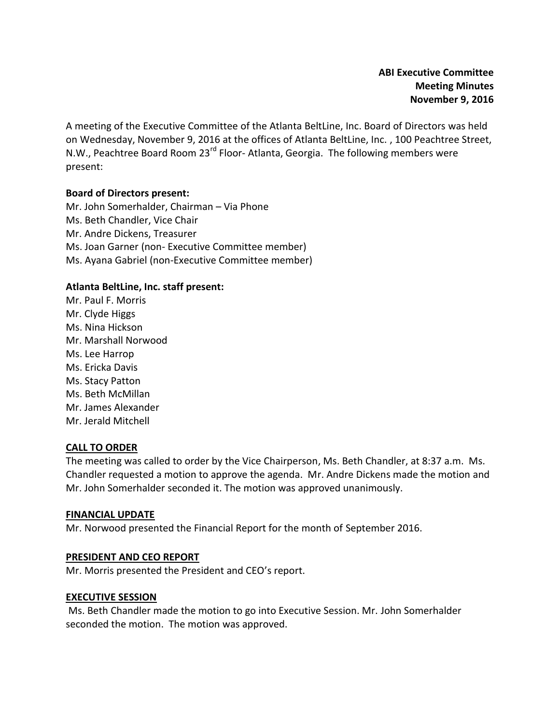A meeting of the Executive Committee of the Atlanta BeltLine, Inc. Board of Directors was held on Wednesday, November 9, 2016 at the offices of Atlanta BeltLine, Inc. , 100 Peachtree Street, N.W., Peachtree Board Room 23<sup>rd</sup> Floor- Atlanta, Georgia. The following members were present:

# **Board of Directors present:**

Mr. John Somerhalder, Chairman – Via Phone Ms. Beth Chandler, Vice Chair Mr. Andre Dickens, Treasurer Ms. Joan Garner (non- Executive Committee member) Ms. Ayana Gabriel (non-Executive Committee member)

# **Atlanta BeltLine, Inc. staff present:**

Mr. Paul F. Morris Mr. Clyde Higgs Ms. Nina Hickson Mr. Marshall Norwood Ms. Lee Harrop Ms. Ericka Davis Ms. Stacy Patton Ms. Beth McMillan Mr. James Alexander Mr. Jerald Mitchell

## **CALL TO ORDER**

The meeting was called to order by the Vice Chairperson, Ms. Beth Chandler, at 8:37 a.m. Ms. Chandler requested a motion to approve the agenda. Mr. Andre Dickens made the motion and Mr. John Somerhalder seconded it. The motion was approved unanimously.

## **FINANCIAL UPDATE**

Mr. Norwood presented the Financial Report for the month of September 2016.

## **PRESIDENT AND CEO REPORT**

Mr. Morris presented the President and CEO's report.

## **EXECUTIVE SESSION**

Ms. Beth Chandler made the motion to go into Executive Session. Mr. John Somerhalder seconded the motion. The motion was approved.